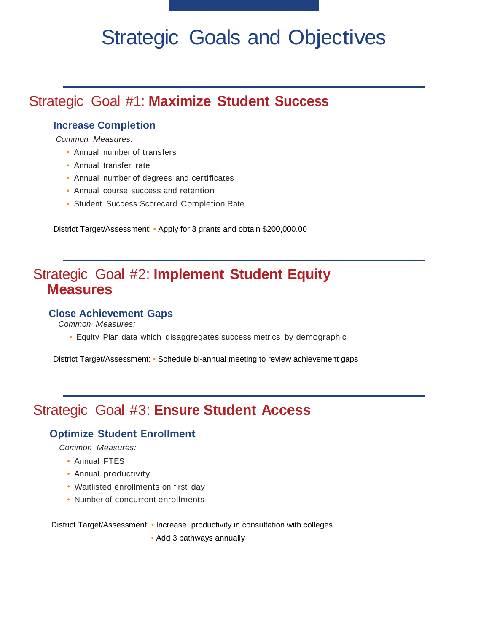# Strategic Goals and Objectives

# Strategic Goal #1: **Maximize Student Success**

#### **Increase Completion**

 *Common Measures:* 

- Annual number of transfers
- Annual transfer rate
- Annual number of degrees and certificates
- Annual course success and retention
- Student Success Scorecard Completion Rate

District Target/Assessment: • Apply for 3 grants and obtain \$200,000.00

## Strategic Goal #2: **Implement Student Equity Measures**

#### **Close Achievement Gaps**

*Common Measures:* 

• Equity Plan data which disaggregates success metrics by demographic

District Target/Assessment: • Schedule bi-annual meeting to review achievement gaps

# Strategic Goal #3: **Ensure Student Access**

#### **Optimize Student Enrollment**

*Common Measures:* 

- Annual FTES
- Annual productivity
- Waitlisted enrollments on first day
- Number of concurrent enrollments

District Target/Assessment: • Increase productivity in consultation with colleges • Add 3 pathways annually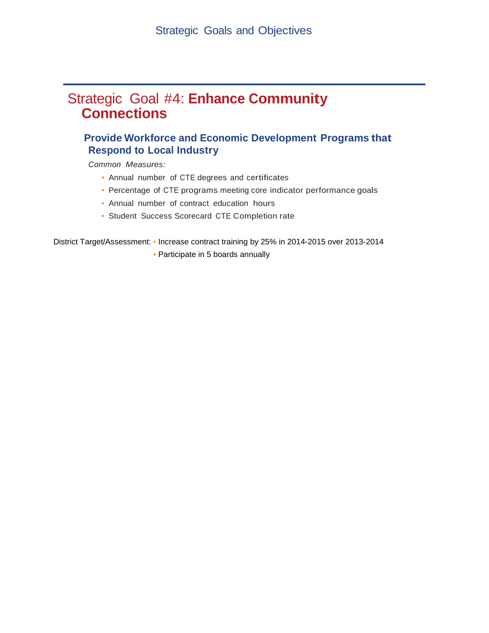## Strategic Goal #4: **Enhance Community Connections**

#### **Provide Workforce and Economic Development Programs that Respond to Local Industry**

*Common Measures:* 

- Annual number of CTE degrees and certificates
- Percentage of CTE programs meeting core indicator performance goals
- Annual number of contract education hours
- Student Success Scorecard CTE Completion rate

District Target/Assessment: • Increase contract training by 25% in 2014-2015 over 2013-2014

• Participate in 5 boards annually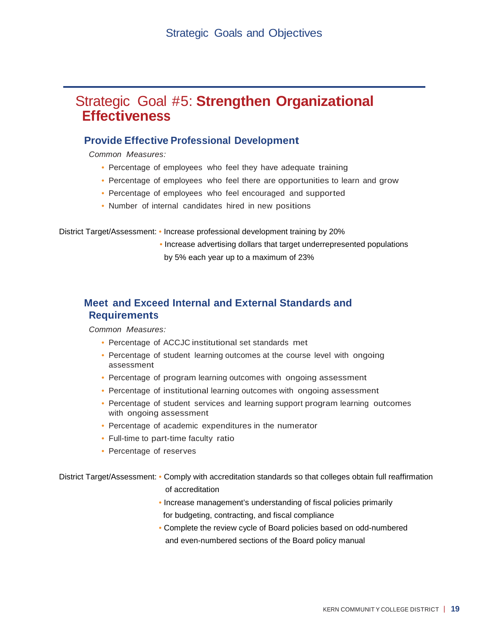## Strategic Goal #5: **Strengthen Organizational Effectiveness**

#### **Provide Effective Professional Development**

*Common Measures:* 

- Percentage of employees who feel they have adequate training
- Percentage of employees who feel there are opportunities to learn and grow
- Percentage of employees who feel encouraged and supported
- • Number of internal candidates hired in new positions

District Target/Assessment: • Increase professional development training by 20%

• Increase advertising dollars that target underrepresented populations by 5% each year up to a maximum of 23%

#### **Meet and Exceed Internal and External Standards and Requirements**

*Common Measures:* 

- Percentage of ACCJC institutional set standards met
- Percentage of student learning outcomes at the course level with ongoing assessment
- Percentage of program learning outcomes with ongoing assessment
- Percentage of institutional learning outcomes with ongoing assessment
- Percentage of student services and learning support program learning outcomes with ongoing assessment
- Percentage of academic expenditures in the numerator
- Full-time to part-time faculty ratio
- Percentage of reserves

District Target/Assessment: • Comply with accreditation standards so that colleges obtain full reaffirmation of accreditation

- Increase management's understanding of fiscal policies primarily for budgeting, contracting, and fiscal compliance
- Complete the review cycle of Board policies based on odd-numbered and even-numbered sections of the Board policy manual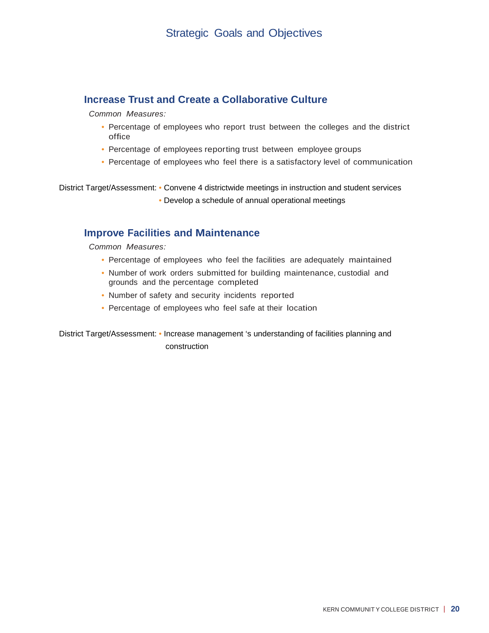#### **Increase Trust and Create a Collaborative Culture**

*Common Measures:* 

- Percentage of employees who report trust between the colleges and the district office
- Percentage of employees reporting trust between employee groups
- Percentage of employees who feel there is a satisfactory level of communication

District Target/Assessment: • Convene 4 districtwide meetings in instruction and student services

• Develop a schedule of annual operational meetings

#### **Improve Facilities and Maintenance**

*Common Measures:* 

- Percentage of employees who feel the facilities are adequately maintained
- Number of work orders submitted for building maintenance, custodial and grounds and the percentage completed
- Number of safety and security incidents reported
- Percentage of employees who feel safe at their location

District Target/Assessment: • Increase management 's understanding of facilities planning and construction